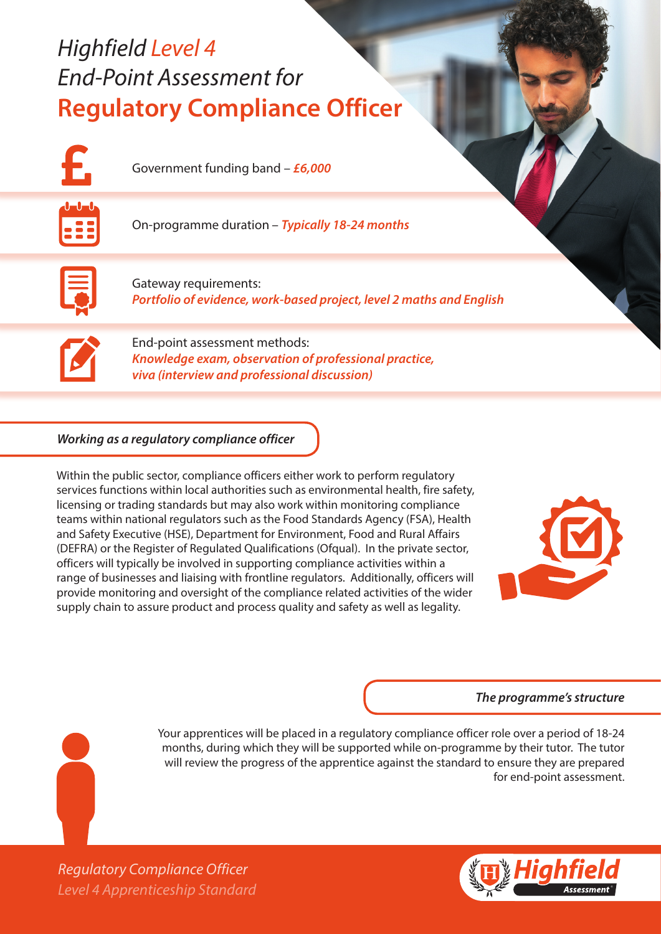# *Highfield Level 4 End-Point Assessment for* **Regulatory Compliance Officer**



Government funding band – *£6,000*



On-programme duration – *Typically 18-24 months* 



Gateway requirements: *Portfolio of evidence, work-based project, level 2 maths and English*



End-point assessment methods: *Knowledge exam, observation of professional practice, viva (interview and professional discussion)*

# *Working as a regulatory compliance officer*

Within the public sector, compliance officers either work to perform regulatory services functions within local authorities such as environmental health, fire safety, licensing or trading standards but may also work within monitoring compliance teams within national regulators such as the Food Standards Agency (FSA), Health and Safety Executive (HSE), Department for Environment, Food and Rural Affairs (DEFRA) or the Register of Regulated Qualifications (Ofqual). In the private sector, officers will typically be involved in supporting compliance activities within a range of businesses and liaising with frontline regulators. Additionally, officers will provide monitoring and oversight of the compliance related activities of the wider supply chain to assure product and process quality and safety as well as legality.



#### *The programme's structure*

Your apprentices will be placed in a regulatory compliance officer role over a period of 18-24 months, during which they will be supported while on-programme by their tutor. The tutor will review the progress of the apprentice against the standard to ensure they are prepared for end-point assessment.



*Level 4 Apprenticeship Standard Regulatory Compliance Officer*